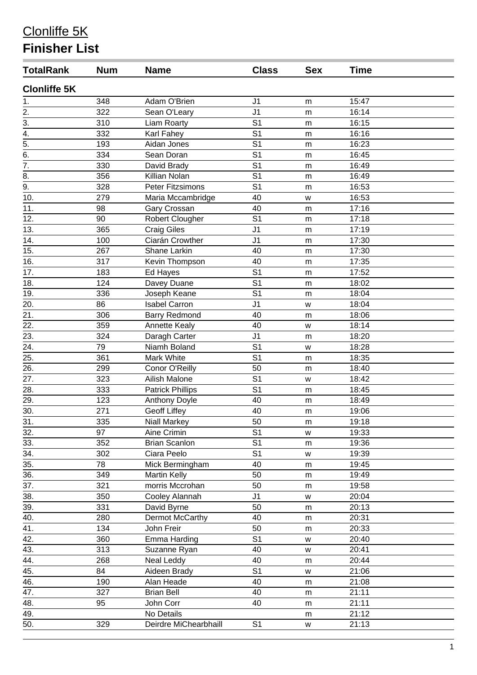## Clonliffe 5K

## **Finisher List**

| <b>TotalRank</b>    | <b>Num</b> | <b>Name</b>             | <b>Class</b>   | <b>Sex</b> | <b>Time</b> |  |
|---------------------|------------|-------------------------|----------------|------------|-------------|--|
| <b>Clonliffe 5K</b> |            |                         |                |            |             |  |
| 1.                  | 348        | Adam O'Brien            | J <sub>1</sub> | m          | 15:47       |  |
| 2.                  | 322        | Sean O'Leary            | J <sub>1</sub> | m          | 16:14       |  |
| $\overline{3}$ .    | 310        | Liam Roarty             | S <sub>1</sub> | m          | 16:15       |  |
| $\overline{4}$ .    | 332        | Karl Fahey              | S <sub>1</sub> | m          | 16:16       |  |
| $\overline{5}$ .    | 193        | Aidan Jones             | S <sub>1</sub> | m          | 16:23       |  |
| 6.                  | 334        | Sean Doran              | S <sub>1</sub> | m          | 16:45       |  |
| $\overline{7}$ .    | 330        | David Brady             | S <sub>1</sub> | m          | 16:49       |  |
| $\overline{8}$ .    | 356        | Killian Nolan           | S <sub>1</sub> | m          | 16:49       |  |
| 9.                  | 328        | <b>Peter Fitzsimons</b> | S <sub>1</sub> | m          | 16:53       |  |
| 10.                 | 279        | Maria Mccambridge       | 40             | W          | 16:53       |  |
| 11.                 | 98         | Gary Crossan            | 40             | m          | 17:16       |  |
| 12.                 | 90         | Robert Clougher         | S <sub>1</sub> | m          | 17:18       |  |
| 13.                 | 365        | <b>Craig Giles</b>      | J <sub>1</sub> | m          | 17:19       |  |
| 14.                 | 100        | Ciarán Crowther         | J <sub>1</sub> | m          | 17:30       |  |
| 15.                 | 267        | Shane Larkin            | 40             | m          | 17:30       |  |
| 16.                 | 317        | Kevin Thompson          | 40             | m          | 17:35       |  |
| 17.                 | 183        | Ed Hayes                | S <sub>1</sub> | m          | 17:52       |  |
| 18.                 | 124        | Davey Duane             | S <sub>1</sub> | m          | 18:02       |  |
| 19.                 | 336        | Joseph Keane            | S <sub>1</sub> | m          | 18:04       |  |
| 20.                 | 86         | <b>Isabel Carron</b>    | J <sub>1</sub> | W          | 18:04       |  |
| 21.                 | 306        | <b>Barry Redmond</b>    | 40             | m          | 18:06       |  |
| 22.                 | 359        | <b>Annette Kealy</b>    | 40             | W          | 18:14       |  |
| 23.                 | 324        | Daragh Carter           | J <sub>1</sub> | m          | 18:20       |  |
| 24.                 | 79         | Niamh Boland            | S <sub>1</sub> | W          | 18:28       |  |
| 25.                 | 361        | Mark White              | S <sub>1</sub> | m          | 18:35       |  |
| 26.                 | 299        | Conor O'Reilly          | 50             | m          | 18:40       |  |
| 27.                 | 323        | Ailish Malone           | S <sub>1</sub> | W          | 18:42       |  |
| 28.                 | 333        | <b>Patrick Phillips</b> | S <sub>1</sub> | m          | 18:45       |  |
| 29.                 | 123        | <b>Anthony Doyle</b>    | 40             | m          | 18:49       |  |
| 30.                 | 271        | <b>Geoff Liffey</b>     | 40             | m          | 19:06       |  |
| 31.                 | 335        | Niall Markey            | 50             | m          | 19:18       |  |
| 32.                 | 97         | Aine Crimin             | S <sub>1</sub> | w          | 19:33       |  |
| 33.                 | 352        | <b>Brian Scanlon</b>    | S <sub>1</sub> | m          | 19:36       |  |
| 34.                 | 302        | Ciara Peelo             | S <sub>1</sub> | W          | 19:39       |  |
| 35.                 | 78         | Mick Bermingham         | 40             | m          | 19:45       |  |
| 36.                 | 349        | <b>Martin Kelly</b>     | 50             | m          | 19:49       |  |
| 37.                 | 321        | morris Mccrohan         | 50             | m          | 19:58       |  |
| 38.                 | 350        | Cooley Alannah          | J <sub>1</sub> | W          | 20:04       |  |
| 39.                 | 331        | David Byrne             | 50             | m          | 20:13       |  |
| 40.                 | 280        | Dermot McCarthy         | 40             | m          | 20:31       |  |
| 41.                 | 134        | John Freir              | 50             | m          | 20:33       |  |
| 42.                 | 360        | Emma Harding            | S <sub>1</sub> | W          | 20:40       |  |
| 43.                 | 313        | Suzanne Ryan            | 40             | W          | 20:41       |  |
| 44.                 | 268        | Neal Leddy              | 40             | m          | 20:44       |  |
| 45.                 | 84         | Aideen Brady            | S <sub>1</sub> | W          | 21:06       |  |
| 46.                 | 190        | Alan Heade              | 40             | m          | 21:08       |  |
| 47.                 | 327        | <b>Brian Bell</b>       | 40             | m          | 21:11       |  |
| 48.                 | 95         | John Corr               | 40             | m          | 21:11       |  |
| 49.                 |            | No Details              |                | m          | 21:12       |  |
| 50.                 | 329        | Deirdre MiChearbhaill   | S <sub>1</sub> | W          | 21:13       |  |
|                     |            |                         |                |            |             |  |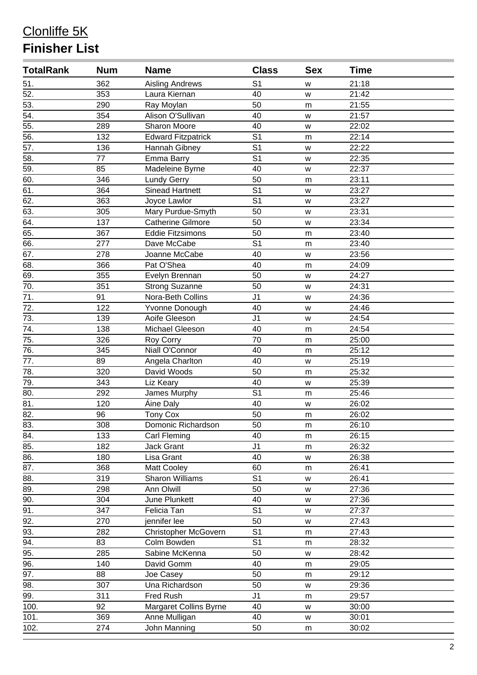## Clonliffe 5K **Finisher List**

| <b>TotalRank</b>  | <b>Num</b> | <b>Name</b>                 | <b>Class</b>   | <b>Sex</b> | <b>Time</b> |  |
|-------------------|------------|-----------------------------|----------------|------------|-------------|--|
| 51.               | 362        | <b>Aisling Andrews</b>      | S <sub>1</sub> | W          | 21:18       |  |
| 52.               | 353        | Laura Kiernan               | 40             | W          | 21:42       |  |
| 53.               | 290        | Ray Moylan                  | 50             | m          | 21:55       |  |
| $\overline{54}$ . | 354        | Alison O'Sullivan           | 40             | w          | 21:57       |  |
| 55.               | 289        | <b>Sharon Moore</b>         | 40             | W          | 22:02       |  |
| 56.               | 132        | Edward Fitzpatrick          | S <sub>1</sub> | m          | 22:14       |  |
| 57.               | 136        | Hannah Gibney               | S <sub>1</sub> | W          | 22:22       |  |
| $\overline{58}$ . | 77         | Emma Barry                  | S <sub>1</sub> | W          | 22:35       |  |
| $\overline{59}$ . | 85         | Madeleine Byrne             | 40             | W          | 22:37       |  |
| 60.               | 346        | <b>Lundy Gerry</b>          | 50             | m          | 23:11       |  |
| 61.               | 364        | <b>Sinead Hartnett</b>      | S <sub>1</sub> | W          | 23:27       |  |
| 62.               | 363        | Joyce Lawlor                | S <sub>1</sub> | W          | 23:27       |  |
| 63.               | 305        | Mary Purdue-Smyth           | 50             | W          | 23:31       |  |
| 64.               | 137        | <b>Catherine Gilmore</b>    | 50             | W          | 23:34       |  |
| 65.               | 367        | <b>Eddie Fitzsimons</b>     | 50             | m          | 23:40       |  |
| 66.               | 277        | Dave McCabe                 | S <sub>1</sub> | m          | 23:40       |  |
| 67.               | 278        | Joanne McCabe               | 40             | W          | 23:56       |  |
| 68.               | 366        | Pat O'Shea                  | 40             | m          | 24:09       |  |
| 69.               | 355        | Evelyn Brennan              | 50             | W          | 24:27       |  |
| 70.               | 351        | <b>Strong Suzanne</b>       | 50             | W          | 24:31       |  |
| 71.               | 91         | Nora-Beth Collins           | J <sub>1</sub> | W          | 24:36       |  |
| 72.               | 122        | Yvonne Donough              | 40             | W          | 24:46       |  |
| 73.               | 139        | Aoife Gleeson               | J <sub>1</sub> | W          | 24:54       |  |
| 74.               | 138        | Michael Gleeson             | 40             | m          | 24:54       |  |
| 75.               | 326        | Roy Corry                   | 70             | m          | 25:00       |  |
| 76.               | 345        | Niall O'Connor              | 40             | m          | 25:12       |  |
| 77.               | 89         | Angela Charlton             | 40             | W          | 25:19       |  |
| 78.               | 320        | David Woods                 | 50             | m          | 25:32       |  |
| 79.               | 343        | Liz Keary                   | 40             | W          | 25:39       |  |
| 80.               | 292        | James Murphy                | S <sub>1</sub> | m          | 25:46       |  |
| 81.               | 120        | Áine Daly                   | 40             | W          | 26:02       |  |
| 82.               | 96         | <b>Tony Cox</b>             | 50             | m          | 26:02       |  |
| 83.               | 308        | Domonic Richardson          | 50             | m          | 26:10       |  |
| 84.               | 133        | Carl Fleming                | 40             | m          | 26:15       |  |
| 85.               | 182        | Jack Grant                  | J <sub>1</sub> | m          | 26:32       |  |
| 86.               | 180        | Lisa Grant                  | 40             | W          | 26:38       |  |
| 87.               | 368        | Matt Cooley                 | 60             | m          | 26:41       |  |
| 88.               | 319        | <b>Sharon Williams</b>      | S <sub>1</sub> | W          | 26:41       |  |
| 89.               | 298        | Ann Olwill                  | 50             | W          | 27:36       |  |
| $\overline{90}$ . | 304        | June Plunkett               | 40             | W          | 27:36       |  |
| 91.               | 347        | Felicia Tan                 | S <sub>1</sub> | W          | 27:37       |  |
| 92.               | 270        | jennifer lee                | 50             | W          | 27:43       |  |
| 93.               | 282        | <b>Christopher McGovern</b> | S <sub>1</sub> | m          | 27:43       |  |
| 94.               | 83         | Colm Bowden                 | S <sub>1</sub> | m          | 28:32       |  |
| 95.               | 285        | Sabine McKenna              | 50             | W          | 28:42       |  |
| 96.               | 140        | David Gomm                  | 40             | m          | 29:05       |  |
| 97.               | 88         | Joe Casey                   | 50             | m          | 29:12       |  |
| $\overline{98}$ . | 307        | Una Richardson              | 50             | W          | 29:36       |  |
| 99.               | 311        | <b>Fred Rush</b>            | J <sub>1</sub> | m          | 29:57       |  |
| 100.              | 92         | Margaret Collins Byrne      | 40             | W          | 30:00       |  |
| 101.              | 369        | Anne Mulligan               | 40             | W          | 30:01       |  |
| 102.              | 274        | John Manning                | 50             | m          | 30:02       |  |
|                   |            |                             |                |            |             |  |